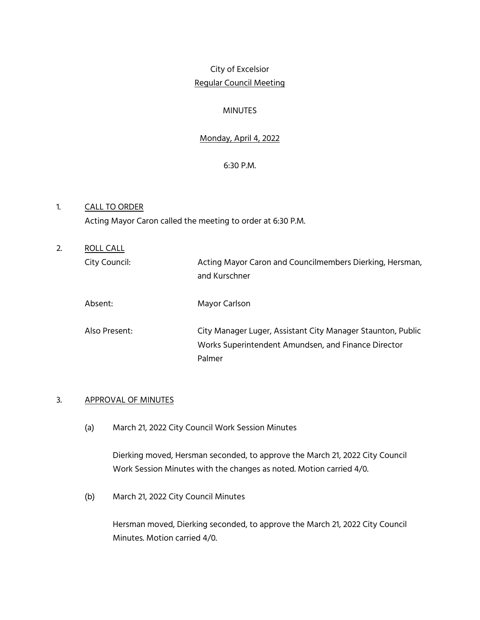# City of Excelsior Regular Council Meeting

## MINUTES

## Monday, April 4, 2022

## 6:30 P.M.

## 1. CALL TO ORDER Acting Mayor Caron called the meeting to order at 6:30 P.M.

| 2. | ROLL CALL     |                                                                                                                              |
|----|---------------|------------------------------------------------------------------------------------------------------------------------------|
|    | City Council: | Acting Mayor Caron and Councilmembers Dierking, Hersman,<br>and Kurschner                                                    |
|    | Absent:       | Mayor Carlson                                                                                                                |
|    | Also Present: | City Manager Luger, Assistant City Manager Staunton, Public<br>Works Superintendent Amundsen, and Finance Director<br>Palmer |

## 3. APPROVAL OF MINUTES

(a) March 21, 2022 City Council Work Session Minutes

Dierking moved, Hersman seconded, to approve the March 21, 2022 City Council Work Session Minutes with the changes as noted. Motion carried 4/0.

(b) March 21, 2022 City Council Minutes

Hersman moved, Dierking seconded, to approve the March 21, 2022 City Council Minutes. Motion carried 4/0.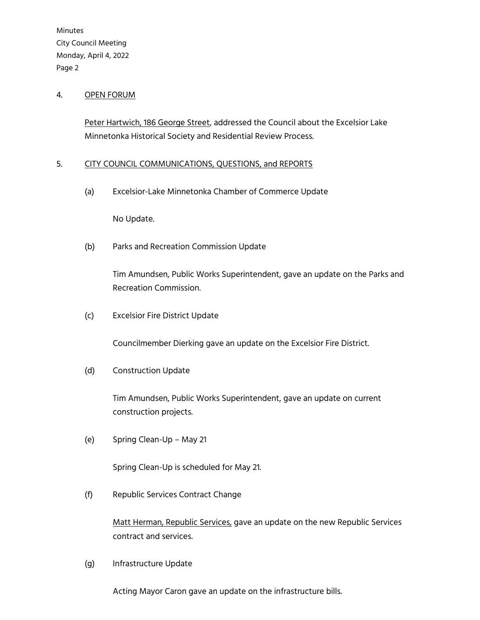Minutes City Council Meeting Monday, April 4, 2022 Page 2

#### 4. OPEN FORUM

Peter Hartwich, 186 George Street, addressed the Council about the Excelsior Lake Minnetonka Historical Society and Residential Review Process.

## 5. CITY COUNCIL COMMUNICATIONS, QUESTIONS, and REPORTS

(a) Excelsior-Lake Minnetonka Chamber of Commerce Update

No Update.

(b) Parks and Recreation Commission Update

Tim Amundsen, Public Works Superintendent, gave an update on the Parks and Recreation Commission.

(c) Excelsior Fire District Update

Councilmember Dierking gave an update on the Excelsior Fire District.

(d) Construction Update

Tim Amundsen, Public Works Superintendent, gave an update on current construction projects.

(e) Spring Clean-Up – May 21

Spring Clean-Up is scheduled for May 21.

(f) Republic Services Contract Change

 Matt Herman, Republic Services, gave an update on the new Republic Services contract and services.

(g) Infrastructure Update

Acting Mayor Caron gave an update on the infrastructure bills.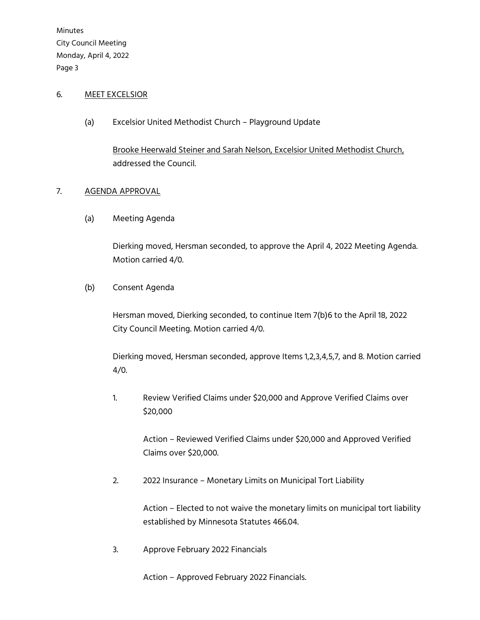Minutes City Council Meeting Monday, April 4, 2022 Page 3

### 6. MEET EXCELSIOR

(a) Excelsior United Methodist Church – Playground Update

Brooke Heerwald Steiner and Sarah Nelson, Excelsior United Methodist Church, addressed the Council.

#### 7. AGENDA APPROVAL

(a) Meeting Agenda

Dierking moved, Hersman seconded, to approve the April 4, 2022 Meeting Agenda. Motion carried 4/0.

#### (b) Consent Agenda

Hersman moved, Dierking seconded, to continue Item 7(b)6 to the April 18, 2022 City Council Meeting. Motion carried 4/0.

Dierking moved, Hersman seconded, approve Items 1,2,3,4,5,7, and 8. Motion carried 4/0.

1. Review Verified Claims under \$20,000 and Approve Verified Claims over \$20,000

> Action – Reviewed Verified Claims under \$20,000 and Approved Verified Claims over \$20,000.

2. 2022 Insurance – Monetary Limits on Municipal Tort Liability

 Action – Elected to not waive the monetary limits on municipal tort liability established by Minnesota Statutes 466.04.

3. Approve February 2022 Financials

Action – Approved February 2022 Financials.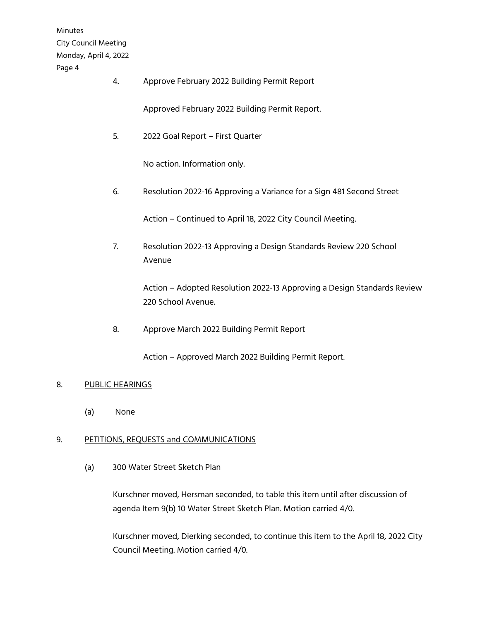Minutes City Council Meeting Monday, April 4, 2022 Page 4

4. Approve February 2022 Building Permit Report

Approved February 2022 Building Permit Report.

5. 2022 Goal Report – First Quarter

No action. Information only.

6. Resolution 2022-16 Approving a Variance for a Sign 481 Second Street

Action – Continued to April 18, 2022 City Council Meeting.

7. Resolution 2022-13 Approving a Design Standards Review 220 School Avenue

> Action – Adopted Resolution 2022-13 Approving a Design Standards Review 220 School Avenue.

8. Approve March 2022 Building Permit Report

Action – Approved March 2022 Building Permit Report.

#### 8. PUBLIC HEARINGS

(a) None

## 9. PETITIONS, REQUESTS and COMMUNICATIONS

(a) 300 Water Street Sketch Plan

Kurschner moved, Hersman seconded, to table this item until after discussion of agenda Item 9(b) 10 Water Street Sketch Plan. Motion carried 4/0.

Kurschner moved, Dierking seconded, to continue this item to the April 18, 2022 City Council Meeting. Motion carried 4/0.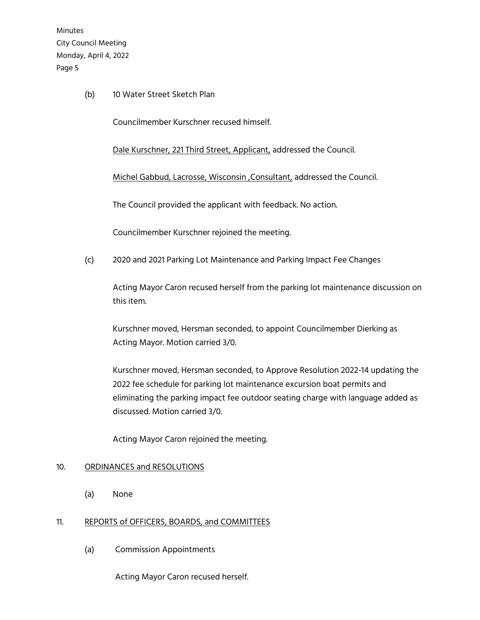Minutes City Council Meeting Monday, April 4, 2022 Page 5

(b) 10 Water Street Sketch Plan

Councilmember Kurschner recused himself.

Dale Kurschner, 221 Third Street, Applicant, addressed the Council.

Michel Gabbud, Lacrosse, Wisconsin ,Consultant, addressed the Council.

The Council provided the applicant with feedback. No action.

Councilmember Kurschner rejoined the meeting.

(c) 2020 and 2021 Parking Lot Maintenance and Parking Impact Fee Changes

Acting Mayor Caron recused herself from the parking lot maintenance discussion on this item.

Kurschner moved, Hersman seconded, to appoint Councilmember Dierking as Acting Mayor. Motion carried 3/0.

Kurschner moved, Hersman seconded, to Approve Resolution 2022-14 updating the 2022 fee schedule for parking lot maintenance excursion boat permits and eliminating the parking impact fee outdoor seating charge with language added as discussed. Motion carried 3/0.

Acting Mayor Caron rejoined the meeting.

#### 10. ORDINANCES and RESOLUTIONS

(a) None

#### 11. REPORTS of OFFICERS, BOARDS, and COMMITTEES

(a) Commission Appointments

Acting Mayor Caron recused herself.